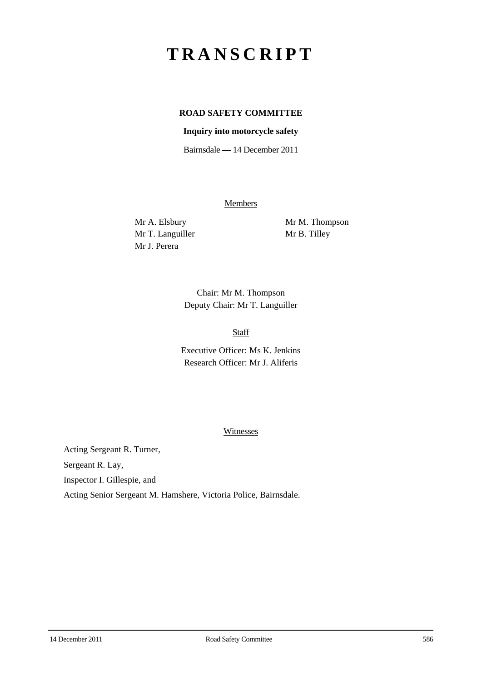# **TRANSCRIPT**

## **ROAD SAFETY COMMITTEE**

### **Inquiry into motorcycle safety**

Bairnsdale — 14 December 2011

**Members** 

Mr T. Languiller Mr B. Tilley Mr J. Perera

Mr A. Elsbury Mr M. Thompson

Chair: Mr M. Thompson Deputy Chair: Mr T. Languiller

## Staff

Executive Officer: Ms K. Jenkins Research Officer: Mr J. Aliferis

#### Witnesses

Acting Sergeant R. Turner,

Sergeant R. Lay,

Inspector I. Gillespie, and

Acting Senior Sergeant M. Hamshere, Victoria Police, Bairnsdale.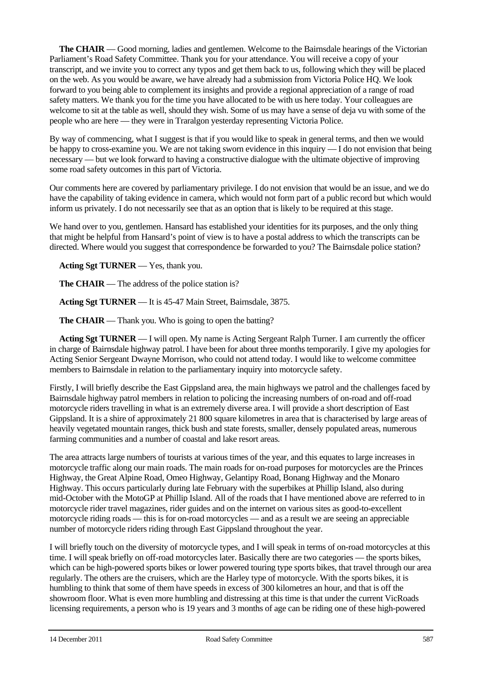**The CHAIR** — Good morning, ladies and gentlemen. Welcome to the Bairnsdale hearings of the Victorian Parliament's Road Safety Committee. Thank you for your attendance. You will receive a copy of your transcript, and we invite you to correct any typos and get them back to us, following which they will be placed on the web. As you would be aware, we have already had a submission from Victoria Police HQ. We look forward to you being able to complement its insights and provide a regional appreciation of a range of road safety matters. We thank you for the time you have allocated to be with us here today. Your colleagues are welcome to sit at the table as well, should they wish. Some of us may have a sense of deja vu with some of the people who are here — they were in Traralgon yesterday representing Victoria Police.

By way of commencing, what I suggest is that if you would like to speak in general terms, and then we would be happy to cross-examine you. We are not taking sworn evidence in this inquiry — I do not envision that being necessary — but we look forward to having a constructive dialogue with the ultimate objective of improving some road safety outcomes in this part of Victoria.

Our comments here are covered by parliamentary privilege. I do not envision that would be an issue, and we do have the capability of taking evidence in camera, which would not form part of a public record but which would inform us privately. I do not necessarily see that as an option that is likely to be required at this stage.

We hand over to you, gentlemen. Hansard has established your identities for its purposes, and the only thing that might be helpful from Hansard's point of view is to have a postal address to which the transcripts can be directed. Where would you suggest that correspondence be forwarded to you? The Bairnsdale police station?

**Acting Sgt TURNER** — Yes, thank you.

**The CHAIR** — The address of the police station is?

**Acting Sgt TURNER** — It is 45-47 Main Street, Bairnsdale, 3875.

**The CHAIR** — Thank you. Who is going to open the batting?

**Acting Sgt TURNER** — I will open. My name is Acting Sergeant Ralph Turner. I am currently the officer in charge of Bairnsdale highway patrol. I have been for about three months temporarily. I give my apologies for Acting Senior Sergeant Dwayne Morrison, who could not attend today. I would like to welcome committee members to Bairnsdale in relation to the parliamentary inquiry into motorcycle safety.

Firstly, I will briefly describe the East Gippsland area, the main highways we patrol and the challenges faced by Bairnsdale highway patrol members in relation to policing the increasing numbers of on-road and off-road motorcycle riders travelling in what is an extremely diverse area. I will provide a short description of East Gippsland. It is a shire of approximately 21 800 square kilometres in area that is characterised by large areas of heavily vegetated mountain ranges, thick bush and state forests, smaller, densely populated areas, numerous farming communities and a number of coastal and lake resort areas.

The area attracts large numbers of tourists at various times of the year, and this equates to large increases in motorcycle traffic along our main roads. The main roads for on-road purposes for motorcycles are the Princes Highway, the Great Alpine Road, Omeo Highway, Gelantipy Road, Bonang Highway and the Monaro Highway. This occurs particularly during late February with the superbikes at Phillip Island, also during mid-October with the MotoGP at Phillip Island. All of the roads that I have mentioned above are referred to in motorcycle rider travel magazines, rider guides and on the internet on various sites as good-to-excellent motorcycle riding roads — this is for on-road motorcycles — and as a result we are seeing an appreciable number of motorcycle riders riding through East Gippsland throughout the year.

I will briefly touch on the diversity of motorcycle types, and I will speak in terms of on-road motorcycles at this time. I will speak briefly on off-road motorcycles later. Basically there are two categories — the sports bikes, which can be high-powered sports bikes or lower powered touring type sports bikes, that travel through our area regularly. The others are the cruisers, which are the Harley type of motorcycle. With the sports bikes, it is humbling to think that some of them have speeds in excess of 300 kilometres an hour, and that is off the showroom floor. What is even more humbling and distressing at this time is that under the current VicRoads licensing requirements, a person who is 19 years and 3 months of age can be riding one of these high-powered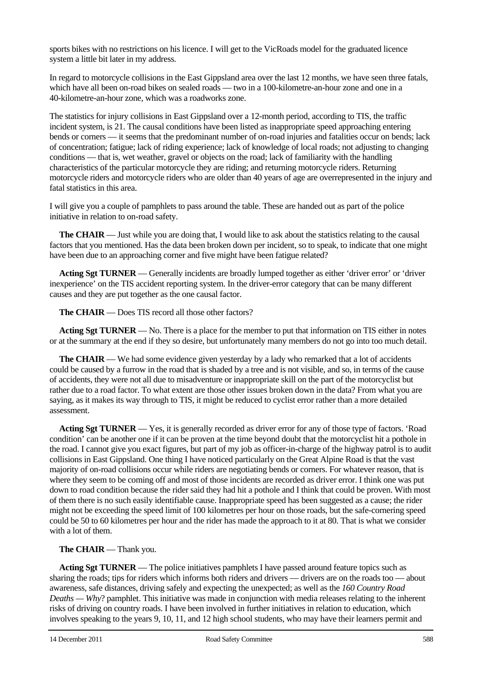sports bikes with no restrictions on his licence. I will get to the VicRoads model for the graduated licence system a little bit later in my address.

In regard to motorcycle collisions in the East Gippsland area over the last 12 months, we have seen three fatals, which have all been on-road bikes on sealed roads — two in a 100-kilometre-an-hour zone and one in a 40-kilometre-an-hour zone, which was a roadworks zone.

The statistics for injury collisions in East Gippsland over a 12-month period, according to TIS, the traffic incident system, is 21. The causal conditions have been listed as inappropriate speed approaching entering bends or corners — it seems that the predominant number of on-road injuries and fatalities occur on bends; lack of concentration; fatigue; lack of riding experience; lack of knowledge of local roads; not adjusting to changing conditions — that is, wet weather, gravel or objects on the road; lack of familiarity with the handling characteristics of the particular motorcycle they are riding; and returning motorcycle riders. Returning motorcycle riders and motorcycle riders who are older than 40 years of age are overrepresented in the injury and fatal statistics in this area.

I will give you a couple of pamphlets to pass around the table. These are handed out as part of the police initiative in relation to on-road safety.

**The <b>CHAIR** — Just while you are doing that, I would like to ask about the statistics relating to the causal factors that you mentioned. Has the data been broken down per incident, so to speak, to indicate that one might have been due to an approaching corner and five might have been fatigue related?

**Acting Sgt TURNER** — Generally incidents are broadly lumped together as either 'driver error' or 'driver inexperience' on the TIS accident reporting system. In the driver-error category that can be many different causes and they are put together as the one causal factor.

**The CHAIR** — Does TIS record all those other factors?

**Acting Sgt TURNER** — No. There is a place for the member to put that information on TIS either in notes or at the summary at the end if they so desire, but unfortunately many members do not go into too much detail.

**The CHAIR** — We had some evidence given yesterday by a lady who remarked that a lot of accidents could be caused by a furrow in the road that is shaded by a tree and is not visible, and so, in terms of the cause of accidents, they were not all due to misadventure or inappropriate skill on the part of the motorcyclist but rather due to a road factor. To what extent are those other issues broken down in the data? From what you are saying, as it makes its way through to TIS, it might be reduced to cyclist error rather than a more detailed assessment.

**Acting Sgt TURNER** — Yes, it is generally recorded as driver error for any of those type of factors. 'Road condition' can be another one if it can be proven at the time beyond doubt that the motorcyclist hit a pothole in the road. I cannot give you exact figures, but part of my job as officer-in-charge of the highway patrol is to audit collisions in East Gippsland. One thing I have noticed particularly on the Great Alpine Road is that the vast majority of on-road collisions occur while riders are negotiating bends or corners. For whatever reason, that is where they seem to be coming off and most of those incidents are recorded as driver error. I think one was put down to road condition because the rider said they had hit a pothole and I think that could be proven. With most of them there is no such easily identifiable cause. Inappropriate speed has been suggested as a cause; the rider might not be exceeding the speed limit of 100 kilometres per hour on those roads, but the safe-cornering speed could be 50 to 60 kilometres per hour and the rider has made the approach to it at 80. That is what we consider with a lot of them.

## **The CHAIR** — Thank you.

**Acting Sgt TURNER** — The police initiatives pamphlets I have passed around feature topics such as sharing the roads; tips for riders which informs both riders and drivers — drivers are on the roads too — about awareness, safe distances, driving safely and expecting the unexpected; as well as the *160 Country Road Deaths — Why*? pamphlet. This initiative was made in conjunction with media releases relating to the inherent risks of driving on country roads. I have been involved in further initiatives in relation to education, which involves speaking to the years 9, 10, 11, and 12 high school students, who may have their learners permit and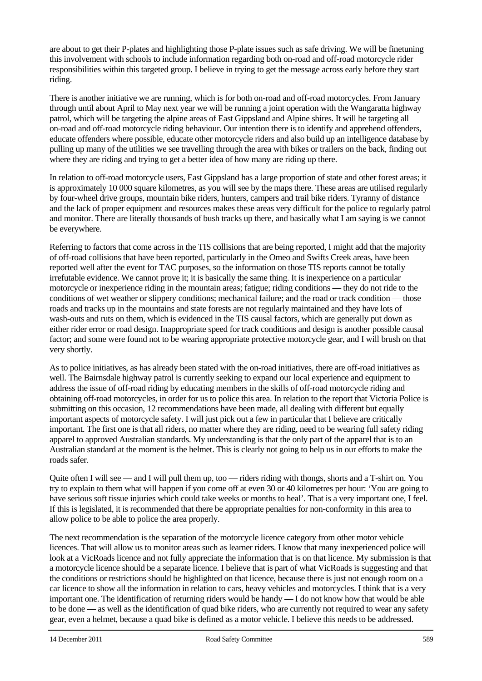are about to get their P-plates and highlighting those P-plate issues such as safe driving. We will be finetuning this involvement with schools to include information regarding both on-road and off-road motorcycle rider responsibilities within this targeted group. I believe in trying to get the message across early before they start riding.

There is another initiative we are running, which is for both on-road and off-road motorcycles. From January through until about April to May next year we will be running a joint operation with the Wangaratta highway patrol, which will be targeting the alpine areas of East Gippsland and Alpine shires. It will be targeting all on-road and off-road motorcycle riding behaviour. Our intention there is to identify and apprehend offenders, educate offenders where possible, educate other motorcycle riders and also build up an intelligence database by pulling up many of the utilities we see travelling through the area with bikes or trailers on the back, finding out where they are riding and trying to get a better idea of how many are riding up there.

In relation to off-road motorcycle users, East Gippsland has a large proportion of state and other forest areas; it is approximately 10 000 square kilometres, as you will see by the maps there. These areas are utilised regularly by four-wheel drive groups, mountain bike riders, hunters, campers and trail bike riders. Tyranny of distance and the lack of proper equipment and resources makes these areas very difficult for the police to regularly patrol and monitor. There are literally thousands of bush tracks up there, and basically what I am saying is we cannot be everywhere.

Referring to factors that come across in the TIS collisions that are being reported, I might add that the majority of off-road collisions that have been reported, particularly in the Omeo and Swifts Creek areas, have been reported well after the event for TAC purposes, so the information on those TIS reports cannot be totally irrefutable evidence. We cannot prove it; it is basically the same thing. It is inexperience on a particular motorcycle or inexperience riding in the mountain areas; fatigue; riding conditions — they do not ride to the conditions of wet weather or slippery conditions; mechanical failure; and the road or track condition — those roads and tracks up in the mountains and state forests are not regularly maintained and they have lots of wash-outs and ruts on them, which is evidenced in the TIS causal factors, which are generally put down as either rider error or road design. Inappropriate speed for track conditions and design is another possible causal factor; and some were found not to be wearing appropriate protective motorcycle gear, and I will brush on that very shortly.

As to police initiatives, as has already been stated with the on-road initiatives, there are off-road initiatives as well. The Bairnsdale highway patrol is currently seeking to expand our local experience and equipment to address the issue of off-road riding by educating members in the skills of off-road motorcycle riding and obtaining off-road motorcycles, in order for us to police this area. In relation to the report that Victoria Police is submitting on this occasion, 12 recommendations have been made, all dealing with different but equally important aspects of motorcycle safety. I will just pick out a few in particular that I believe are critically important. The first one is that all riders, no matter where they are riding, need to be wearing full safety riding apparel to approved Australian standards. My understanding is that the only part of the apparel that is to an Australian standard at the moment is the helmet. This is clearly not going to help us in our efforts to make the roads safer.

Quite often I will see — and I will pull them up, too — riders riding with thongs, shorts and a T-shirt on. You try to explain to them what will happen if you come off at even 30 or 40 kilometres per hour: 'You are going to have serious soft tissue injuries which could take weeks or months to heal'. That is a very important one, I feel. If this is legislated, it is recommended that there be appropriate penalties for non-conformity in this area to allow police to be able to police the area properly.

The next recommendation is the separation of the motorcycle licence category from other motor vehicle licences. That will allow us to monitor areas such as learner riders. I know that many inexperienced police will look at a VicRoads licence and not fully appreciate the information that is on that licence. My submission is that a motorcycle licence should be a separate licence. I believe that is part of what VicRoads is suggesting and that the conditions or restrictions should be highlighted on that licence, because there is just not enough room on a car licence to show all the information in relation to cars, heavy vehicles and motorcycles. I think that is a very important one. The identification of returning riders would be handy — I do not know how that would be able to be done — as well as the identification of quad bike riders, who are currently not required to wear any safety gear, even a helmet, because a quad bike is defined as a motor vehicle. I believe this needs to be addressed.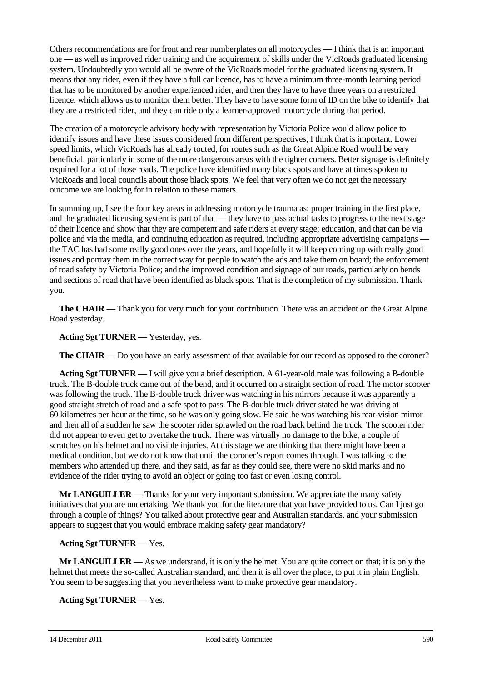Others recommendations are for front and rear numberplates on all motorcycles — I think that is an important one — as well as improved rider training and the acquirement of skills under the VicRoads graduated licensing system. Undoubtedly you would all be aware of the VicRoads model for the graduated licensing system. It means that any rider, even if they have a full car licence, has to have a minimum three-month learning period that has to be monitored by another experienced rider, and then they have to have three years on a restricted licence, which allows us to monitor them better. They have to have some form of ID on the bike to identify that they are a restricted rider, and they can ride only a learner-approved motorcycle during that period.

The creation of a motorcycle advisory body with representation by Victoria Police would allow police to identify issues and have these issues considered from different perspectives; I think that is important. Lower speed limits, which VicRoads has already touted, for routes such as the Great Alpine Road would be very beneficial, particularly in some of the more dangerous areas with the tighter corners. Better signage is definitely required for a lot of those roads. The police have identified many black spots and have at times spoken to VicRoads and local councils about those black spots. We feel that very often we do not get the necessary outcome we are looking for in relation to these matters.

In summing up, I see the four key areas in addressing motorcycle trauma as: proper training in the first place, and the graduated licensing system is part of that — they have to pass actual tasks to progress to the next stage of their licence and show that they are competent and safe riders at every stage; education, and that can be via police and via the media, and continuing education as required, including appropriate advertising campaigns the TAC has had some really good ones over the years, and hopefully it will keep coming up with really good issues and portray them in the correct way for people to watch the ads and take them on board; the enforcement of road safety by Victoria Police; and the improved condition and signage of our roads, particularly on bends and sections of road that have been identified as black spots. That is the completion of my submission. Thank you.

**The CHAIR** — Thank you for very much for your contribution. There was an accident on the Great Alpine Road yesterday.

**Acting Sgt TURNER** — Yesterday, yes.

**The CHAIR** — Do you have an early assessment of that available for our record as opposed to the coroner?

**Acting Sgt TURNER** — I will give you a brief description. A 61-year-old male was following a B-double truck. The B-double truck came out of the bend, and it occurred on a straight section of road. The motor scooter was following the truck. The B-double truck driver was watching in his mirrors because it was apparently a good straight stretch of road and a safe spot to pass. The B-double truck driver stated he was driving at 60 kilometres per hour at the time, so he was only going slow. He said he was watching his rear-vision mirror and then all of a sudden he saw the scooter rider sprawled on the road back behind the truck. The scooter rider did not appear to even get to overtake the truck. There was virtually no damage to the bike, a couple of scratches on his helmet and no visible injuries. At this stage we are thinking that there might have been a medical condition, but we do not know that until the coroner's report comes through. I was talking to the members who attended up there, and they said, as far as they could see, there were no skid marks and no evidence of the rider trying to avoid an object or going too fast or even losing control.

**Mr LANGUILLER** — Thanks for your very important submission. We appreciate the many safety initiatives that you are undertaking. We thank you for the literature that you have provided to us. Can I just go through a couple of things? You talked about protective gear and Australian standards, and your submission appears to suggest that you would embrace making safety gear mandatory?

## **Acting Sgt TURNER** — Yes.

**Mr LANGUILLER** — As we understand, it is only the helmet. You are quite correct on that; it is only the helmet that meets the so-called Australian standard, and then it is all over the place, to put it in plain English. You seem to be suggesting that you nevertheless want to make protective gear mandatory.

**Acting Sgt TURNER** — Yes.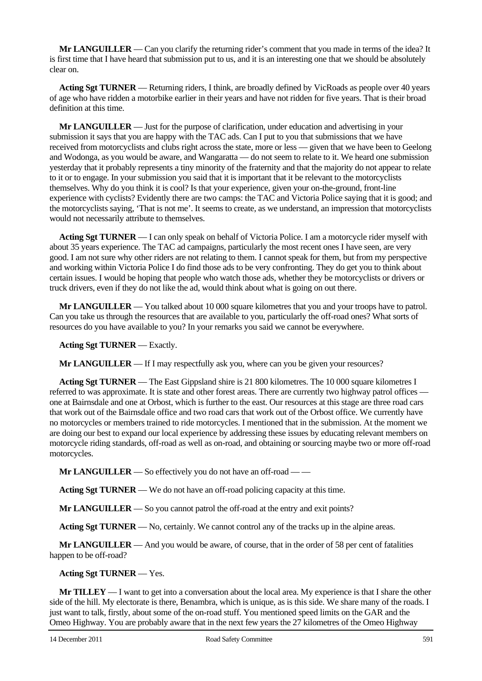**Mr LANGUILLER** — Can you clarify the returning rider's comment that you made in terms of the idea? It is first time that I have heard that submission put to us, and it is an interesting one that we should be absolutely clear on.

**Acting Sgt TURNER** — Returning riders, I think, are broadly defined by VicRoads as people over 40 years of age who have ridden a motorbike earlier in their years and have not ridden for five years. That is their broad definition at this time.

**Mr LANGUILLER** — Just for the purpose of clarification, under education and advertising in your submission it says that you are happy with the TAC ads. Can I put to you that submissions that we have received from motorcyclists and clubs right across the state, more or less — given that we have been to Geelong and Wodonga, as you would be aware, and Wangaratta — do not seem to relate to it. We heard one submission yesterday that it probably represents a tiny minority of the fraternity and that the majority do not appear to relate to it or to engage. In your submission you said that it is important that it be relevant to the motorcyclists themselves. Why do you think it is cool? Is that your experience, given your on-the-ground, front-line experience with cyclists? Evidently there are two camps: the TAC and Victoria Police saying that it is good; and the motorcyclists saying, 'That is not me'. It seems to create, as we understand, an impression that motorcyclists would not necessarily attribute to themselves.

**Acting Sgt TURNER** — I can only speak on behalf of Victoria Police. I am a motorcycle rider myself with about 35 years experience. The TAC ad campaigns, particularly the most recent ones I have seen, are very good. I am not sure why other riders are not relating to them. I cannot speak for them, but from my perspective and working within Victoria Police I do find those ads to be very confronting. They do get you to think about certain issues. I would be hoping that people who watch those ads, whether they be motorcyclists or drivers or truck drivers, even if they do not like the ad, would think about what is going on out there.

**Mr LANGUILLER** — You talked about 10 000 square kilometres that you and your troops have to patrol. Can you take us through the resources that are available to you, particularly the off-road ones? What sorts of resources do you have available to you? In your remarks you said we cannot be everywhere.

**Acting Sgt TURNER** — Exactly.

**Mr LANGUILLER** — If I may respectfully ask you, where can you be given your resources?

**Acting Sgt TURNER** — The East Gippsland shire is 21 800 kilometres. The 10 000 square kilometres I referred to was approximate. It is state and other forest areas. There are currently two highway patrol offices one at Bairnsdale and one at Orbost, which is further to the east. Our resources at this stage are three road cars that work out of the Bairnsdale office and two road cars that work out of the Orbost office. We currently have no motorcycles or members trained to ride motorcycles. I mentioned that in the submission. At the moment we are doing our best to expand our local experience by addressing these issues by educating relevant members on motorcycle riding standards, off-road as well as on-road, and obtaining or sourcing maybe two or more off-road motorcycles.

**Mr LANGUILLER** — So effectively you do not have an off-road — —

**Acting Sgt TURNER** — We do not have an off-road policing capacity at this time.

**Mr LANGUILLER** — So you cannot patrol the off-road at the entry and exit points?

**Acting Sgt TURNER** — No, certainly. We cannot control any of the tracks up in the alpine areas.

**Mr LANGUILLER** — And you would be aware, of course, that in the order of 58 per cent of fatalities happen to be off-road?

**Acting Sgt TURNER** — Yes.

**Mr TILLEY** — I want to get into a conversation about the local area. My experience is that I share the other side of the hill. My electorate is there, Benambra, which is unique, as is this side. We share many of the roads. I just want to talk, firstly, about some of the on-road stuff. You mentioned speed limits on the GAR and the Omeo Highway. You are probably aware that in the next few years the 27 kilometres of the Omeo Highway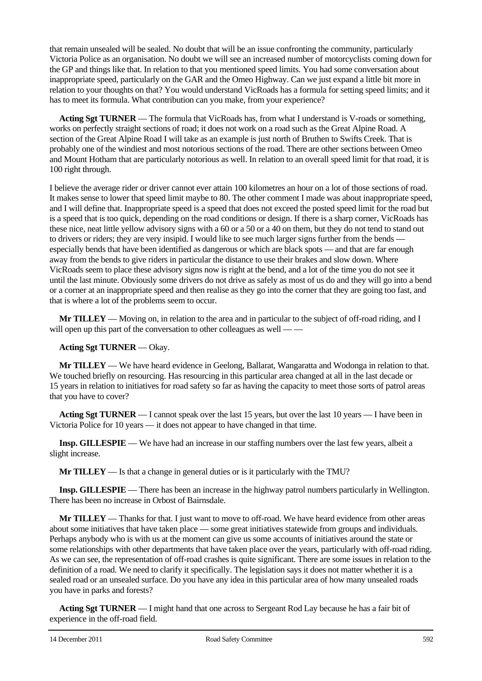that remain unsealed will be sealed. No doubt that will be an issue confronting the community, particularly Victoria Police as an organisation. No doubt we will see an increased number of motorcyclists coming down for the GP and things like that. In relation to that you mentioned speed limits. You had some conversation about inappropriate speed, particularly on the GAR and the Omeo Highway. Can we just expand a little bit more in relation to your thoughts on that? You would understand VicRoads has a formula for setting speed limits; and it has to meet its formula. What contribution can you make, from your experience?

**Acting Sgt TURNER** — The formula that VicRoads has, from what I understand is V-roads or something, works on perfectly straight sections of road; it does not work on a road such as the Great Alpine Road. A section of the Great Alpine Road I will take as an example is just north of Bruthen to Swifts Creek. That is probably one of the windiest and most notorious sections of the road. There are other sections between Omeo and Mount Hotham that are particularly notorious as well. In relation to an overall speed limit for that road, it is 100 right through.

I believe the average rider or driver cannot ever attain 100 kilometres an hour on a lot of those sections of road. It makes sense to lower that speed limit maybe to 80. The other comment I made was about inappropriate speed, and I will define that. Inappropriate speed is a speed that does not exceed the posted speed limit for the road but is a speed that is too quick, depending on the road conditions or design. If there is a sharp corner, VicRoads has these nice, neat little yellow advisory signs with a 60 or a 50 or a 40 on them, but they do not tend to stand out to drivers or riders; they are very insipid. I would like to see much larger signs further from the bends especially bends that have been identified as dangerous or which are black spots — and that are far enough away from the bends to give riders in particular the distance to use their brakes and slow down. Where VicRoads seem to place these advisory signs now is right at the bend, and a lot of the time you do not see it until the last minute. Obviously some drivers do not drive as safely as most of us do and they will go into a bend or a corner at an inappropriate speed and then realise as they go into the corner that they are going too fast, and that is where a lot of the problems seem to occur.

**Mr TILLEY** — Moving on, in relation to the area and in particular to the subject of off-road riding, and I will open up this part of the conversation to other colleagues as well — —

#### **Acting Sgt TURNER** — Okay.

**Mr TILLEY** — We have heard evidence in Geelong, Ballarat, Wangaratta and Wodonga in relation to that. We touched briefly on resourcing. Has resourcing in this particular area changed at all in the last decade or 15 years in relation to initiatives for road safety so far as having the capacity to meet those sorts of patrol areas that you have to cover?

**Acting Sgt TURNER** — I cannot speak over the last 15 years, but over the last 10 years — I have been in Victoria Police for 10 years — it does not appear to have changed in that time.

**Insp. GILLESPIE** — We have had an increase in our staffing numbers over the last few years, albeit a slight increase.

**Mr TILLEY** — Is that a change in general duties or is it particularly with the TMU?

**Insp. GILLESPIE** — There has been an increase in the highway patrol numbers particularly in Wellington. There has been no increase in Orbost of Bairnsdale.

**Mr TILLEY** — Thanks for that. I just want to move to off-road. We have heard evidence from other areas about some initiatives that have taken place — some great initiatives statewide from groups and individuals. Perhaps anybody who is with us at the moment can give us some accounts of initiatives around the state or some relationships with other departments that have taken place over the years, particularly with off-road riding. As we can see, the representation of off-road crashes is quite significant. There are some issues in relation to the definition of a road. We need to clarify it specifically. The legislation says it does not matter whether it is a sealed road or an unsealed surface. Do you have any idea in this particular area of how many unsealed roads you have in parks and forests?

**Acting Sgt TURNER** — I might hand that one across to Sergeant Rod Lay because he has a fair bit of experience in the off-road field.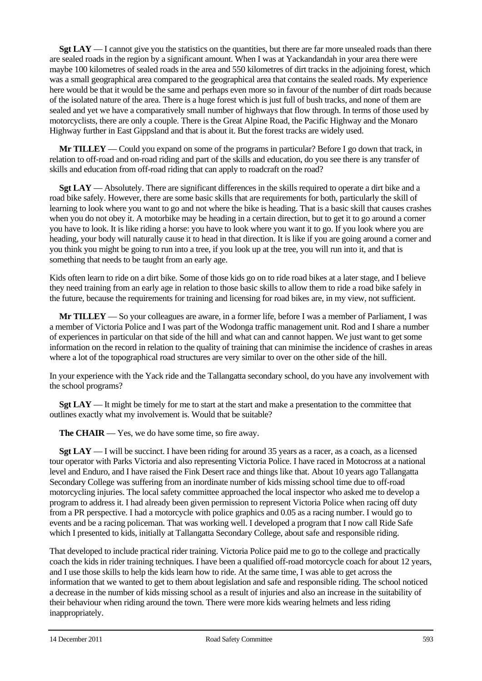**Sgt LAY** — I cannot give you the statistics on the quantities, but there are far more unsealed roads than there are sealed roads in the region by a significant amount. When I was at Yackandandah in your area there were maybe 100 kilometres of sealed roads in the area and 550 kilometres of dirt tracks in the adjoining forest, which was a small geographical area compared to the geographical area that contains the sealed roads. My experience here would be that it would be the same and perhaps even more so in favour of the number of dirt roads because of the isolated nature of the area. There is a huge forest which is just full of bush tracks, and none of them are sealed and yet we have a comparatively small number of highways that flow through. In terms of those used by motorcyclists, there are only a couple. There is the Great Alpine Road, the Pacific Highway and the Monaro Highway further in East Gippsland and that is about it. But the forest tracks are widely used.

**Mr TILLEY** — Could you expand on some of the programs in particular? Before I go down that track, in relation to off-road and on-road riding and part of the skills and education, do you see there is any transfer of skills and education from off-road riding that can apply to roadcraft on the road?

**Sgt LAY** — Absolutely. There are significant differences in the skills required to operate a dirt bike and a road bike safely. However, there are some basic skills that are requirements for both, particularly the skill of learning to look where you want to go and not where the bike is heading. That is a basic skill that causes crashes when you do not obey it. A motorbike may be heading in a certain direction, but to get it to go around a corner you have to look. It is like riding a horse: you have to look where you want it to go. If you look where you are heading, your body will naturally cause it to head in that direction. It is like if you are going around a corner and you think you might be going to run into a tree, if you look up at the tree, you will run into it, and that is something that needs to be taught from an early age.

Kids often learn to ride on a dirt bike. Some of those kids go on to ride road bikes at a later stage, and I believe they need training from an early age in relation to those basic skills to allow them to ride a road bike safely in the future, because the requirements for training and licensing for road bikes are, in my view, not sufficient.

**Mr TILLEY** — So your colleagues are aware, in a former life, before I was a member of Parliament, I was a member of Victoria Police and I was part of the Wodonga traffic management unit. Rod and I share a number of experiences in particular on that side of the hill and what can and cannot happen. We just want to get some information on the record in relation to the quality of training that can minimise the incidence of crashes in areas where a lot of the topographical road structures are very similar to over on the other side of the hill.

In your experience with the Yack ride and the Tallangatta secondary school, do you have any involvement with the school programs?

**Sgt LAY** — It might be timely for me to start at the start and make a presentation to the committee that outlines exactly what my involvement is. Would that be suitable?

**The CHAIR** — Yes, we do have some time, so fire away.

**Sgt LAY** — I will be succinct. I have been riding for around 35 years as a racer, as a coach, as a licensed tour operator with Parks Victoria and also representing Victoria Police. I have raced in Motocross at a national level and Enduro, and I have raised the Fink Desert race and things like that. About 10 years ago Tallangatta Secondary College was suffering from an inordinate number of kids missing school time due to off-road motorcycling injuries. The local safety committee approached the local inspector who asked me to develop a program to address it. I had already been given permission to represent Victoria Police when racing off duty from a PR perspective. I had a motorcycle with police graphics and 0.05 as a racing number. I would go to events and be a racing policeman. That was working well. I developed a program that I now call Ride Safe which I presented to kids, initially at Tallangatta Secondary College, about safe and responsible riding.

That developed to include practical rider training. Victoria Police paid me to go to the college and practically coach the kids in rider training techniques. I have been a qualified off-road motorcycle coach for about 12 years, and I use those skills to help the kids learn how to ride. At the same time, I was able to get across the information that we wanted to get to them about legislation and safe and responsible riding. The school noticed a decrease in the number of kids missing school as a result of injuries and also an increase in the suitability of their behaviour when riding around the town. There were more kids wearing helmets and less riding inappropriately.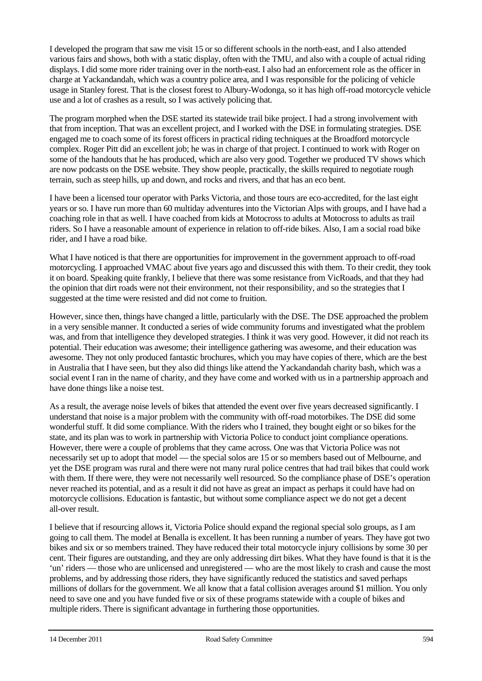I developed the program that saw me visit 15 or so different schools in the north-east, and I also attended various fairs and shows, both with a static display, often with the TMU, and also with a couple of actual riding displays. I did some more rider training over in the north-east. I also had an enforcement role as the officer in charge at Yackandandah, which was a country police area, and I was responsible for the policing of vehicle usage in Stanley forest. That is the closest forest to Albury-Wodonga, so it has high off-road motorcycle vehicle use and a lot of crashes as a result, so I was actively policing that.

The program morphed when the DSE started its statewide trail bike project. I had a strong involvement with that from inception. That was an excellent project, and I worked with the DSE in formulating strategies. DSE engaged me to coach some of its forest officers in practical riding techniques at the Broadford motorcycle complex. Roger Pitt did an excellent job; he was in charge of that project. I continued to work with Roger on some of the handouts that he has produced, which are also very good. Together we produced TV shows which are now podcasts on the DSE website. They show people, practically, the skills required to negotiate rough terrain, such as steep hills, up and down, and rocks and rivers, and that has an eco bent.

I have been a licensed tour operator with Parks Victoria, and those tours are eco-accredited, for the last eight years or so. I have run more than 60 multiday adventures into the Victorian Alps with groups, and I have had a coaching role in that as well. I have coached from kids at Motocross to adults at Motocross to adults as trail riders. So I have a reasonable amount of experience in relation to off-ride bikes. Also, I am a social road bike rider, and I have a road bike.

What I have noticed is that there are opportunities for improvement in the government approach to off-road motorcycling. I approached VMAC about five years ago and discussed this with them. To their credit, they took it on board. Speaking quite frankly, I believe that there was some resistance from VicRoads, and that they had the opinion that dirt roads were not their environment, not their responsibility, and so the strategies that I suggested at the time were resisted and did not come to fruition.

However, since then, things have changed a little, particularly with the DSE. The DSE approached the problem in a very sensible manner. It conducted a series of wide community forums and investigated what the problem was, and from that intelligence they developed strategies. I think it was very good. However, it did not reach its potential. Their education was awesome; their intelligence gathering was awesome, and their education was awesome. They not only produced fantastic brochures, which you may have copies of there, which are the best in Australia that I have seen, but they also did things like attend the Yackandandah charity bash, which was a social event I ran in the name of charity, and they have come and worked with us in a partnership approach and have done things like a noise test.

As a result, the average noise levels of bikes that attended the event over five years decreased significantly. I understand that noise is a major problem with the community with off-road motorbikes. The DSE did some wonderful stuff. It did some compliance. With the riders who I trained, they bought eight or so bikes for the state, and its plan was to work in partnership with Victoria Police to conduct joint compliance operations. However, there were a couple of problems that they came across. One was that Victoria Police was not necessarily set up to adopt that model — the special solos are 15 or so members based out of Melbourne, and yet the DSE program was rural and there were not many rural police centres that had trail bikes that could work with them. If there were, they were not necessarily well resourced. So the compliance phase of DSE's operation never reached its potential, and as a result it did not have as great an impact as perhaps it could have had on motorcycle collisions. Education is fantastic, but without some compliance aspect we do not get a decent all-over result.

I believe that if resourcing allows it, Victoria Police should expand the regional special solo groups, as I am going to call them. The model at Benalla is excellent. It has been running a number of years. They have got two bikes and six or so members trained. They have reduced their total motorcycle injury collisions by some 30 per cent. Their figures are outstanding, and they are only addressing dirt bikes. What they have found is that it is the 'un' riders — those who are unlicensed and unregistered — who are the most likely to crash and cause the most problems, and by addressing those riders, they have significantly reduced the statistics and saved perhaps millions of dollars for the government. We all know that a fatal collision averages around \$1 million. You only need to save one and you have funded five or six of these programs statewide with a couple of bikes and multiple riders. There is significant advantage in furthering those opportunities.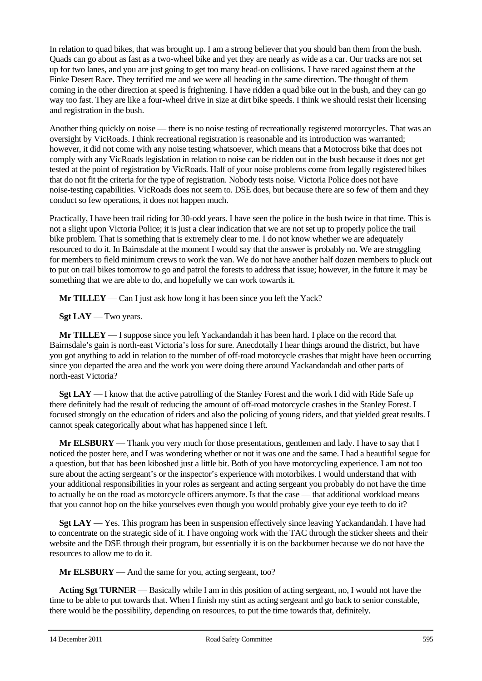In relation to quad bikes, that was brought up. I am a strong believer that you should ban them from the bush. Quads can go about as fast as a two-wheel bike and yet they are nearly as wide as a car. Our tracks are not set up for two lanes, and you are just going to get too many head-on collisions. I have raced against them at the Finke Desert Race. They terrified me and we were all heading in the same direction. The thought of them coming in the other direction at speed is frightening. I have ridden a quad bike out in the bush, and they can go way too fast. They are like a four-wheel drive in size at dirt bike speeds. I think we should resist their licensing and registration in the bush.

Another thing quickly on noise — there is no noise testing of recreationally registered motorcycles. That was an oversight by VicRoads. I think recreational registration is reasonable and its introduction was warranted; however, it did not come with any noise testing whatsoever, which means that a Motocross bike that does not comply with any VicRoads legislation in relation to noise can be ridden out in the bush because it does not get tested at the point of registration by VicRoads. Half of your noise problems come from legally registered bikes that do not fit the criteria for the type of registration. Nobody tests noise. Victoria Police does not have noise-testing capabilities. VicRoads does not seem to. DSE does, but because there are so few of them and they conduct so few operations, it does not happen much.

Practically, I have been trail riding for 30-odd years. I have seen the police in the bush twice in that time. This is not a slight upon Victoria Police; it is just a clear indication that we are not set up to properly police the trail bike problem. That is something that is extremely clear to me. I do not know whether we are adequately resourced to do it. In Bairnsdale at the moment I would say that the answer is probably no. We are struggling for members to field minimum crews to work the van. We do not have another half dozen members to pluck out to put on trail bikes tomorrow to go and patrol the forests to address that issue; however, in the future it may be something that we are able to do, and hopefully we can work towards it.

**Mr TILLEY** — Can I just ask how long it has been since you left the Yack?

**Sgt LAY** — Two years.

**Mr TILLEY** — I suppose since you left Yackandandah it has been hard. I place on the record that Bairnsdale's gain is north-east Victoria's loss for sure. Anecdotally I hear things around the district, but have you got anything to add in relation to the number of off-road motorcycle crashes that might have been occurring since you departed the area and the work you were doing there around Yackandandah and other parts of north-east Victoria?

**Sgt LAY** — I know that the active patrolling of the Stanley Forest and the work I did with Ride Safe up there definitely had the result of reducing the amount of off-road motorcycle crashes in the Stanley Forest. I focused strongly on the education of riders and also the policing of young riders, and that yielded great results. I cannot speak categorically about what has happened since I left.

**Mr ELSBURY** — Thank you very much for those presentations, gentlemen and lady. I have to say that I noticed the poster here, and I was wondering whether or not it was one and the same. I had a beautiful segue for a question, but that has been kiboshed just a little bit. Both of you have motorcycling experience. I am not too sure about the acting sergeant's or the inspector's experience with motorbikes. I would understand that with your additional responsibilities in your roles as sergeant and acting sergeant you probably do not have the time to actually be on the road as motorcycle officers anymore. Is that the case — that additional workload means that you cannot hop on the bike yourselves even though you would probably give your eye teeth to do it?

**Sgt LAY** — Yes. This program has been in suspension effectively since leaving Yackandandah. I have had to concentrate on the strategic side of it. I have ongoing work with the TAC through the sticker sheets and their website and the DSE through their program, but essentially it is on the backburner because we do not have the resources to allow me to do it.

**Mr ELSBURY** — And the same for you, acting sergeant, too?

**Acting Sgt TURNER** — Basically while I am in this position of acting sergeant, no, I would not have the time to be able to put towards that. When I finish my stint as acting sergeant and go back to senior constable, there would be the possibility, depending on resources, to put the time towards that, definitely.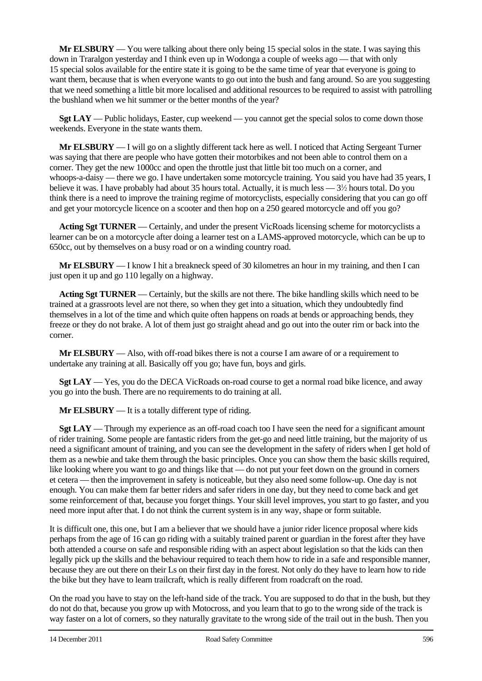**Mr ELSBURY** — You were talking about there only being 15 special solos in the state. I was saying this down in Traralgon yesterday and I think even up in Wodonga a couple of weeks ago — that with only 15 special solos available for the entire state it is going to be the same time of year that everyone is going to want them, because that is when everyone wants to go out into the bush and fang around. So are you suggesting that we need something a little bit more localised and additional resources to be required to assist with patrolling the bushland when we hit summer or the better months of the year?

**Sgt LAY** — Public holidays, Easter, cup weekend — you cannot get the special solos to come down those weekends. Everyone in the state wants them.

**Mr ELSBURY** — I will go on a slightly different tack here as well. I noticed that Acting Sergeant Turner was saying that there are people who have gotten their motorbikes and not been able to control them on a corner. They get the new 1000cc and open the throttle just that little bit too much on a corner, and whoops-a-daisy — there we go. I have undertaken some motorcycle training. You said you have had 35 years, I believe it was. I have probably had about 35 hours total. Actually, it is much less —  $3\frac{1}{2}$  hours total. Do you think there is a need to improve the training regime of motorcyclists, especially considering that you can go off and get your motorcycle licence on a scooter and then hop on a 250 geared motorcycle and off you go?

**Acting Sgt TURNER** — Certainly, and under the present VicRoads licensing scheme for motorcyclists a learner can be on a motorcycle after doing a learner test on a LAMS-approved motorcycle, which can be up to 650cc, out by themselves on a busy road or on a winding country road.

**Mr ELSBURY** — I know I hit a breakneck speed of 30 kilometres an hour in my training, and then I can just open it up and go 110 legally on a highway.

**Acting Sgt TURNER** — Certainly, but the skills are not there. The bike handling skills which need to be trained at a grassroots level are not there, so when they get into a situation, which they undoubtedly find themselves in a lot of the time and which quite often happens on roads at bends or approaching bends, they freeze or they do not brake. A lot of them just go straight ahead and go out into the outer rim or back into the corner.

**Mr ELSBURY** — Also, with off-road bikes there is not a course I am aware of or a requirement to undertake any training at all. Basically off you go; have fun, boys and girls.

**Sgt LAY** — Yes, you do the DECA VicRoads on-road course to get a normal road bike licence, and away you go into the bush. There are no requirements to do training at all.

**Mr ELSBURY** — It is a totally different type of riding.

**Sgt LAY** — Through my experience as an off-road coach too I have seen the need for a significant amount of rider training. Some people are fantastic riders from the get-go and need little training, but the majority of us need a significant amount of training, and you can see the development in the safety of riders when I get hold of them as a newbie and take them through the basic principles. Once you can show them the basic skills required, like looking where you want to go and things like that — do not put your feet down on the ground in corners et cetera — then the improvement in safety is noticeable, but they also need some follow-up. One day is not enough. You can make them far better riders and safer riders in one day, but they need to come back and get some reinforcement of that, because you forget things. Your skill level improves, you start to go faster, and you need more input after that. I do not think the current system is in any way, shape or form suitable.

It is difficult one, this one, but I am a believer that we should have a junior rider licence proposal where kids perhaps from the age of 16 can go riding with a suitably trained parent or guardian in the forest after they have both attended a course on safe and responsible riding with an aspect about legislation so that the kids can then legally pick up the skills and the behaviour required to teach them how to ride in a safe and responsible manner, because they are out there on their Ls on their first day in the forest. Not only do they have to learn how to ride the bike but they have to learn trailcraft, which is really different from roadcraft on the road.

On the road you have to stay on the left-hand side of the track. You are supposed to do that in the bush, but they do not do that, because you grow up with Motocross, and you learn that to go to the wrong side of the track is way faster on a lot of corners, so they naturally gravitate to the wrong side of the trail out in the bush. Then you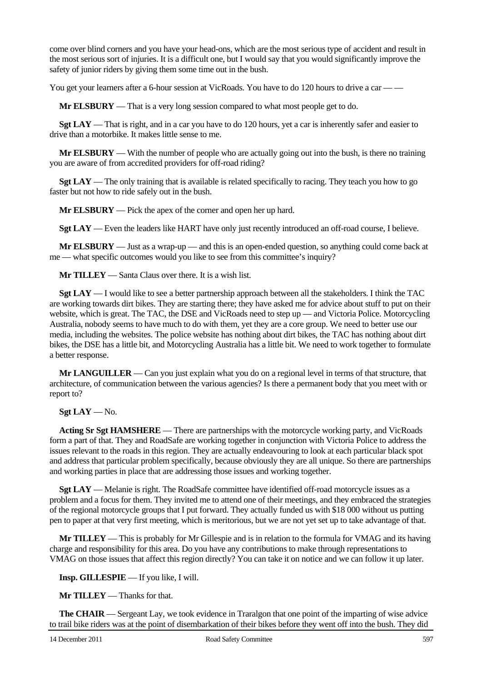come over blind corners and you have your head-ons, which are the most serious type of accident and result in the most serious sort of injuries. It is a difficult one, but I would say that you would significantly improve the safety of junior riders by giving them some time out in the bush.

You get your learners after a 6-hour session at VicRoads. You have to do 120 hours to drive a car — —

**Mr ELSBURY** — That is a very long session compared to what most people get to do.

**Sgt LAY** — That is right, and in a car you have to do 120 hours, yet a car is inherently safer and easier to drive than a motorbike. It makes little sense to me.

**Mr ELSBURY** — With the number of people who are actually going out into the bush, is there no training you are aware of from accredited providers for off-road riding?

**Sgt LAY** — The only training that is available is related specifically to racing. They teach you how to go faster but not how to ride safely out in the bush.

**Mr ELSBURY** — Pick the apex of the corner and open her up hard.

**Sgt LAY** — Even the leaders like HART have only just recently introduced an off-road course, I believe.

**Mr ELSBURY** — Just as a wrap-up — and this is an open-ended question, so anything could come back at me — what specific outcomes would you like to see from this committee's inquiry?

**Mr TILLEY** — Santa Claus over there. It is a wish list.

**Sgt LAY** — I would like to see a better partnership approach between all the stakeholders. I think the TAC are working towards dirt bikes. They are starting there; they have asked me for advice about stuff to put on their website, which is great. The TAC, the DSE and VicRoads need to step up — and Victoria Police. Motorcycling Australia, nobody seems to have much to do with them, yet they are a core group. We need to better use our media, including the websites. The police website has nothing about dirt bikes, the TAC has nothing about dirt bikes, the DSE has a little bit, and Motorcycling Australia has a little bit. We need to work together to formulate a better response.

**Mr LANGUILLER** — Can you just explain what you do on a regional level in terms of that structure, that architecture, of communication between the various agencies? Is there a permanent body that you meet with or report to?

**Sgt LAY** — No.

**Acting Sr Sgt HAMSHERE** — There are partnerships with the motorcycle working party, and VicRoads form a part of that. They and RoadSafe are working together in conjunction with Victoria Police to address the issues relevant to the roads in this region. They are actually endeavouring to look at each particular black spot and address that particular problem specifically, because obviously they are all unique. So there are partnerships and working parties in place that are addressing those issues and working together.

**Sgt LAY** — Melanie is right. The RoadSafe committee have identified off-road motorcycle issues as a problem and a focus for them. They invited me to attend one of their meetings, and they embraced the strategies of the regional motorcycle groups that I put forward. They actually funded us with \$18 000 without us putting pen to paper at that very first meeting, which is meritorious, but we are not yet set up to take advantage of that.

**Mr TILLEY** — This is probably for Mr Gillespie and is in relation to the formula for VMAG and its having charge and responsibility for this area. Do you have any contributions to make through representations to VMAG on those issues that affect this region directly? You can take it on notice and we can follow it up later.

**Insp. GILLESPIE** — If you like, I will.

**Mr TILLEY** — Thanks for that.

**The CHAIR** — Sergeant Lay, we took evidence in Traralgon that one point of the imparting of wise advice to trail bike riders was at the point of disembarkation of their bikes before they went off into the bush. They did